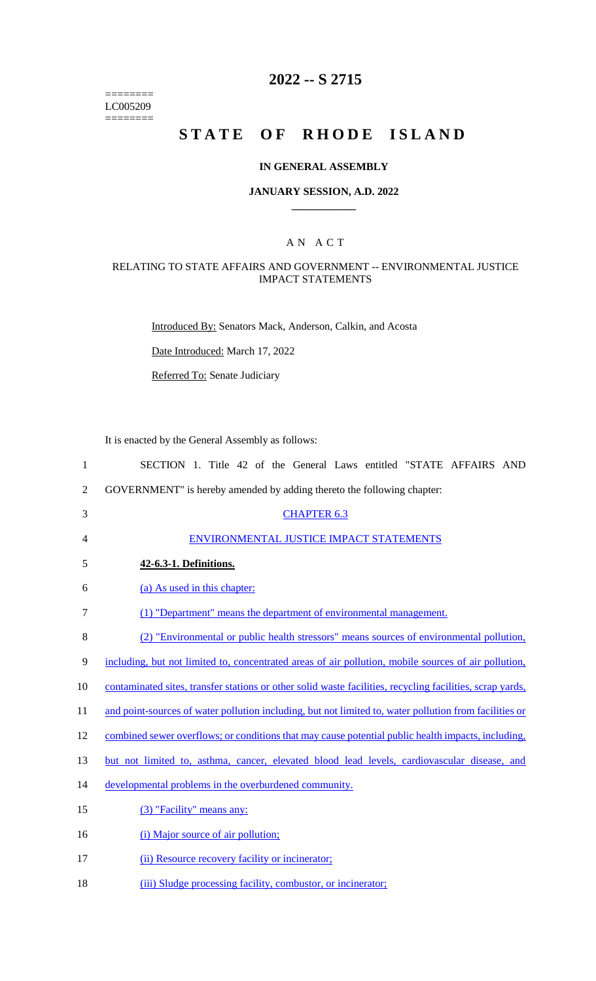======== LC005209  $=$ 

# **2022 -- S 2715**

# STATE OF RHODE ISLAND

## **IN GENERAL ASSEMBLY**

#### **JANUARY SESSION, A.D. 2022 \_\_\_\_\_\_\_\_\_\_\_\_**

## A N A C T

### RELATING TO STATE AFFAIRS AND GOVERNMENT -- ENVIRONMENTAL JUSTICE IMPACT STATEMENTS

Introduced By: Senators Mack, Anderson, Calkin, and Acosta

Date Introduced: March 17, 2022

Referred To: Senate Judiciary

It is enacted by the General Assembly as follows:

| $\mathbf{1}$   | SECTION 1. Title 42 of the General Laws entitled "STATE AFFAIRS AND                                       |
|----------------|-----------------------------------------------------------------------------------------------------------|
| $\overline{2}$ | GOVERNMENT" is hereby amended by adding thereto the following chapter:                                    |
| 3              | <b>CHAPTER 6.3</b>                                                                                        |
| 4              | ENVIRONMENTAL JUSTICE IMPACT STATEMENTS                                                                   |
| 5              | 42-6.3-1. Definitions.                                                                                    |
| 6              | (a) As used in this chapter:                                                                              |
| $\tau$         | (1) "Department" means the department of environmental management.                                        |
| 8              | (2) "Environmental or public health stressors" means sources of environmental pollution,                  |
| 9              | including, but not limited to, concentrated areas of air pollution, mobile sources of air pollution,      |
| 10             | contaminated sites, transfer stations or other solid waste facilities, recycling facilities, scrap yards, |
| 11             | and point-sources of water pollution including, but not limited to, water pollution from facilities or    |
| 12             | combined sewer overflows; or conditions that may cause potential public health impacts, including,        |
| 13             | but not limited to, asthma, cancer, elevated blood lead levels, cardiovascular disease, and               |
| 14             | developmental problems in the overburdened community.                                                     |
| 15             | (3) "Facility" means any:                                                                                 |
| 16             | (i) Major source of air pollution;                                                                        |
| 17             | (ii) Resource recovery facility or incinerator;                                                           |
| 18             | (iii) Sludge processing facility, combustor, or incinerator;                                              |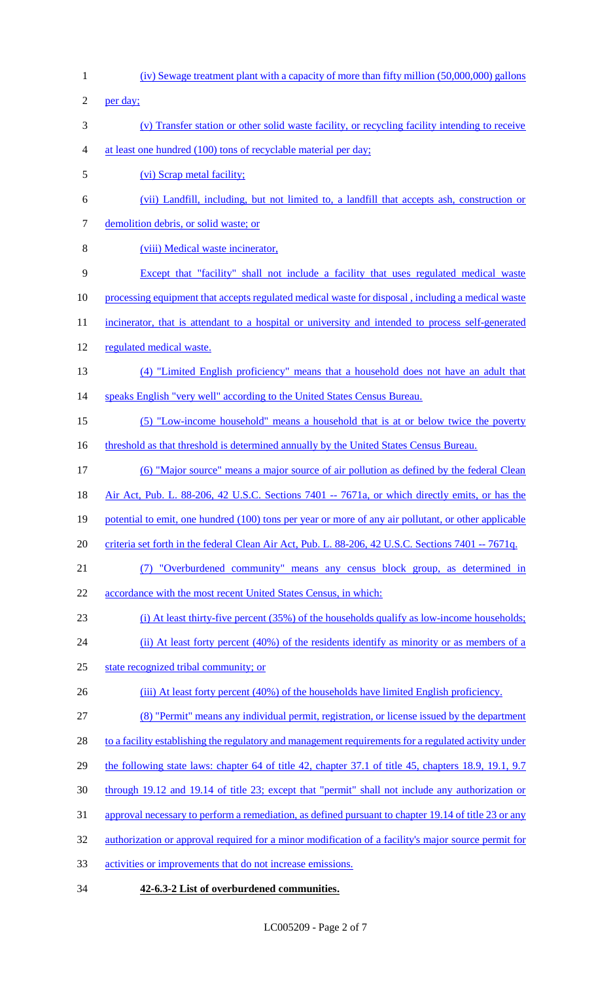(iv) Sewage treatment plant with a capacity of more than fifty million (50,000,000) gallons per day; (v) Transfer station or other solid waste facility, or recycling facility intending to receive at least one hundred (100) tons of recyclable material per day; (vi) Scrap metal facility; (vii) Landfill, including, but not limited to, a landfill that accepts ash, construction or 7 demolition debris, or solid waste; or (viii) Medical waste incinerator, Except that "facility" shall not include a facility that uses regulated medical waste processing equipment that accepts regulated medical waste for disposal , including a medical waste 11 incinerator, that is attendant to a hospital or university and intended to process self-generated regulated medical waste. (4) "Limited English proficiency" means that a household does not have an adult that 14 speaks English "very well" according to the United States Census Bureau. (5) "Low-income household" means a household that is at or below twice the poverty 16 threshold as that threshold is determined annually by the United States Census Bureau. (6) "Major source" means a major source of air pollution as defined by the federal Clean Air Act, Pub. L. 88-206, 42 U.S.C. Sections 7401 -- 7671a, or which directly emits, or has the 19 potential to emit, one hundred (100) tons per year or more of any air pollutant, or other applicable 20 criteria set forth in the federal Clean Air Act, Pub. L. 88-206, 42 U.S.C. Sections 7401 -- 7671q. (7) "Overburdened community" means any census block group, as determined in accordance with the most recent United States Census, in which: (i) At least thirty-five percent (35%) of the households qualify as low-income households; 24 (ii) At least forty percent (40%) of the residents identify as minority or as members of a state recognized tribal community; or 26 (iii) At least forty percent (40%) of the households have limited English proficiency. (8) "Permit" means any individual permit, registration, or license issued by the department 28 to a facility establishing the regulatory and management requirements for a regulated activity under 29 the following state laws: chapter 64 of title 42, chapter 37.1 of title 45, chapters 18.9, 19.1, 9.7 through 19.12 and 19.14 of title 23; except that "permit" shall not include any authorization or approval necessary to perform a remediation, as defined pursuant to chapter 19.14 of title 23 or any authorization or approval required for a minor modification of a facility's major source permit for activities or improvements that do not increase emissions. **42-6.3-2 List of overburdened communities.**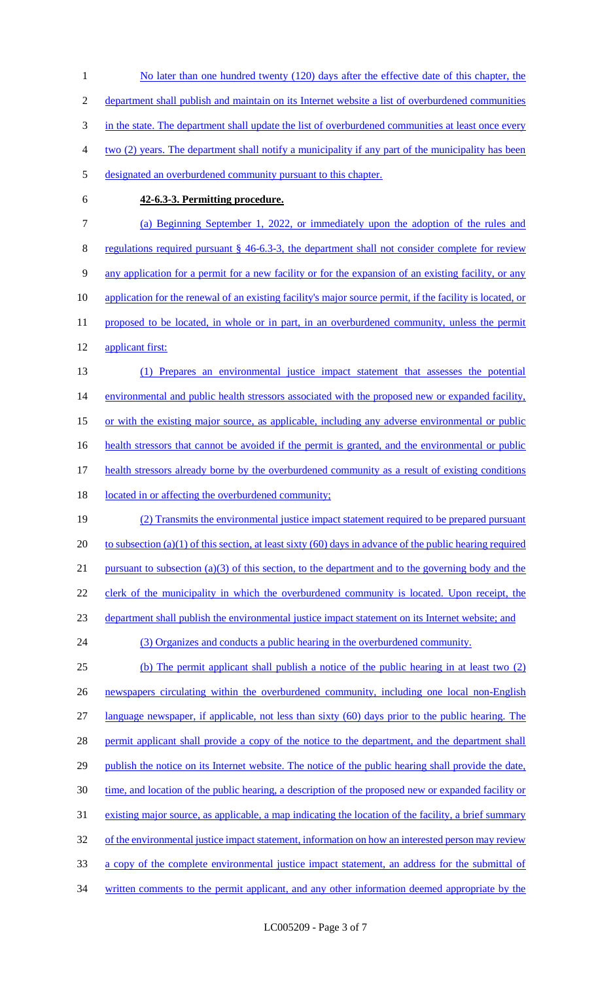1 No later than one hundred twenty (120) days after the effective date of this chapter, the 2 department shall publish and maintain on its Internet website a list of overburdened communities 3 in the state. The department shall update the list of overburdened communities at least once every 4 two (2) years. The department shall notify a municipality if any part of the municipality has been 5 designated an overburdened community pursuant to this chapter. 6 **42-6.3-3. Permitting procedure.**  7 (a) Beginning September 1, 2022, or immediately upon the adoption of the rules and 8 regulations required pursuant § 46-6.3-3, the department shall not consider complete for review 9 any application for a permit for a new facility or for the expansion of an existing facility, or any 10 application for the renewal of an existing facility's major source permit, if the facility is located, or 11 proposed to be located, in whole or in part, in an overburdened community, unless the permit 12 applicant first: 13 (1) Prepares an environmental justice impact statement that assesses the potential 14 environmental and public health stressors associated with the proposed new or expanded facility, 15 or with the existing major source, as applicable, including any adverse environmental or public 16 health stressors that cannot be avoided if the permit is granted, and the environmental or public 17 health stressors already borne by the overburdened community as a result of existing conditions 18 located in or affecting the overburdened community; 19 (2) Transmits the environmental justice impact statement required to be prepared pursuant 20 to subsection (a)(1) of this section, at least sixty (60) days in advance of the public hearing required 21 pursuant to subsection (a)(3) of this section, to the department and to the governing body and the 22 clerk of the municipality in which the overburdened community is located. Upon receipt, the 23 department shall publish the environmental justice impact statement on its Internet website; and 24 (3) Organizes and conducts a public hearing in the overburdened community. 25 (b) The permit applicant shall publish a notice of the public hearing in at least two (2) 26 newspapers circulating within the overburdened community, including one local non-English 27 language newspaper, if applicable, not less than sixty (60) days prior to the public hearing. The 28 permit applicant shall provide a copy of the notice to the department, and the department shall 29 publish the notice on its Internet website. The notice of the public hearing shall provide the date, 30 time, and location of the public hearing, a description of the proposed new or expanded facility or 31 existing major source, as applicable, a map indicating the location of the facility, a brief summary 32 of the environmental justice impact statement, information on how an interested person may review 33 a copy of the complete environmental justice impact statement, an address for the submittal of 34 written comments to the permit applicant, and any other information deemed appropriate by the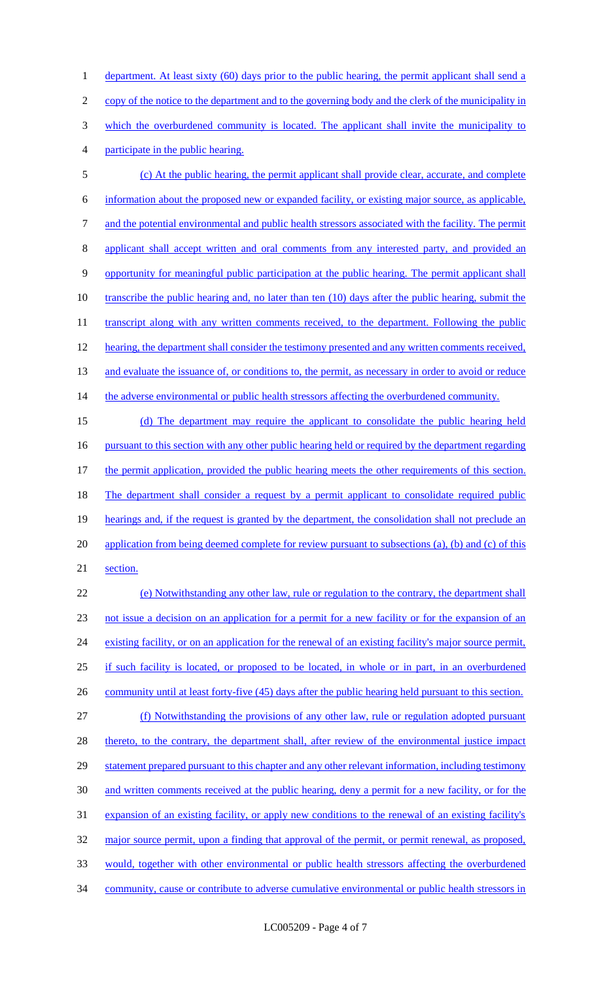1 department. At least sixty (60) days prior to the public hearing, the permit applicant shall send a copy of the notice to the department and to the governing body and the clerk of the municipality in which the overburdened community is located. The applicant shall invite the municipality to participate in the public hearing.

5 (c) At the public hearing, the permit applicant shall provide clear, accurate, and complete 6 information about the proposed new or expanded facility, or existing major source, as applicable, 7 and the potential environmental and public health stressors associated with the facility. The permit 8 applicant shall accept written and oral comments from any interested party, and provided an 9 opportunity for meaningful public participation at the public hearing. The permit applicant shall 10 transcribe the public hearing and, no later than ten (10) days after the public hearing, submit the 11 transcript along with any written comments received, to the department. Following the public 12 hearing, the department shall consider the testimony presented and any written comments received, 13 and evaluate the issuance of, or conditions to, the permit, as necessary in order to avoid or reduce 14 the adverse environmental or public health stressors affecting the overburdened community.

15 (d) The department may require the applicant to consolidate the public hearing held 16 pursuant to this section with any other public hearing held or required by the department regarding 17 the permit application, provided the public hearing meets the other requirements of this section. 18 The department shall consider a request by a permit applicant to consolidate required public 19 hearings and, if the request is granted by the department, the consolidation shall not preclude an 20 application from being deemed complete for review pursuant to subsections (a), (b) and (c) of this 21 section.

 (e) Notwithstanding any other law, rule or regulation to the contrary, the department shall not issue a decision on an application for a permit for a new facility or for the expansion of an 24 existing facility, or on an application for the renewal of an existing facility's major source permit, if such facility is located, or proposed to be located, in whole or in part, in an overburdened 26 community until at least forty-five (45) days after the public hearing held pursuant to this section. (f) Notwithstanding the provisions of any other law, rule or regulation adopted pursuant 28 thereto, to the contrary, the department shall, after review of the environmental justice impact 29 statement prepared pursuant to this chapter and any other relevant information, including testimony and written comments received at the public hearing, deny a permit for a new facility, or for the expansion of an existing facility, or apply new conditions to the renewal of an existing facility's 32 major source permit, upon a finding that approval of the permit, or permit renewal, as proposed, would, together with other environmental or public health stressors affecting the overburdened community, cause or contribute to adverse cumulative environmental or public health stressors in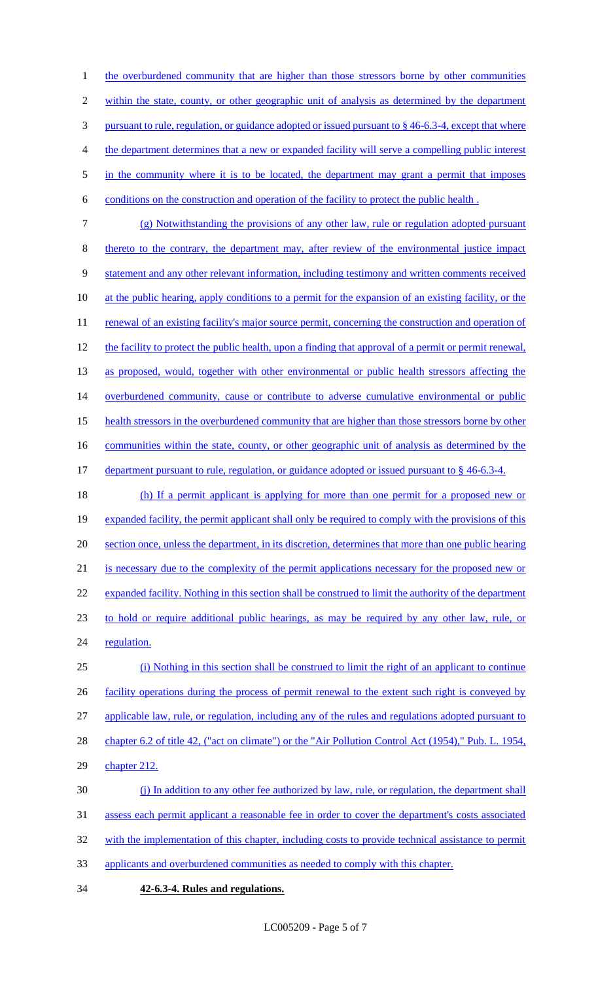1 the overburdened community that are higher than those stressors borne by other communities within the state, county, or other geographic unit of analysis as determined by the department pursuant to rule, regulation, or guidance adopted or issued pursuant to § 46-6.3-4, except that where the department determines that a new or expanded facility will serve a compelling public interest 5 in the community where it is to be located, the department may grant a permit that imposes conditions on the construction and operation of the facility to protect the public health .

- (g) Notwithstanding the provisions of any other law, rule or regulation adopted pursuant thereto to the contrary, the department may, after review of the environmental justice impact statement and any other relevant information, including testimony and written comments received at the public hearing, apply conditions to a permit for the expansion of an existing facility, or the 11 renewal of an existing facility's major source permit, concerning the construction and operation of 12 the facility to protect the public health, upon a finding that approval of a permit or permit renewal, as proposed, would, together with other environmental or public health stressors affecting the 14 overburdened community, cause or contribute to adverse cumulative environmental or public health stressors in the overburdened community that are higher than those stressors borne by other 16 communities within the state, county, or other geographic unit of analysis as determined by the 17 department pursuant to rule, regulation, or guidance adopted or issued pursuant to § 46-6.3-4.
- (h) If a permit applicant is applying for more than one permit for a proposed new or expanded facility, the permit applicant shall only be required to comply with the provisions of this section once, unless the department, in its discretion, determines that more than one public hearing is necessary due to the complexity of the permit applications necessary for the proposed new or 22 expanded facility. Nothing in this section shall be construed to limit the authority of the department to hold or require additional public hearings, as may be required by any other law, rule, or 24 regulation. (i) Nothing in this section shall be construed to limit the right of an applicant to continue

26 facility operations during the process of permit renewal to the extent such right is conveyed by applicable law, rule, or regulation, including any of the rules and regulations adopted pursuant to

28 chapter 6.2 of title 42, ("act on climate") or the "Air Pollution Control Act (1954)," Pub. L. 1954,

chapter 212.

(j) In addition to any other fee authorized by law, rule, or regulation, the department shall

assess each permit applicant a reasonable fee in order to cover the department's costs associated

32 with the implementation of this chapter, including costs to provide technical assistance to permit

- applicants and overburdened communities as needed to comply with this chapter.
- **42-6.3-4. Rules and regulations.**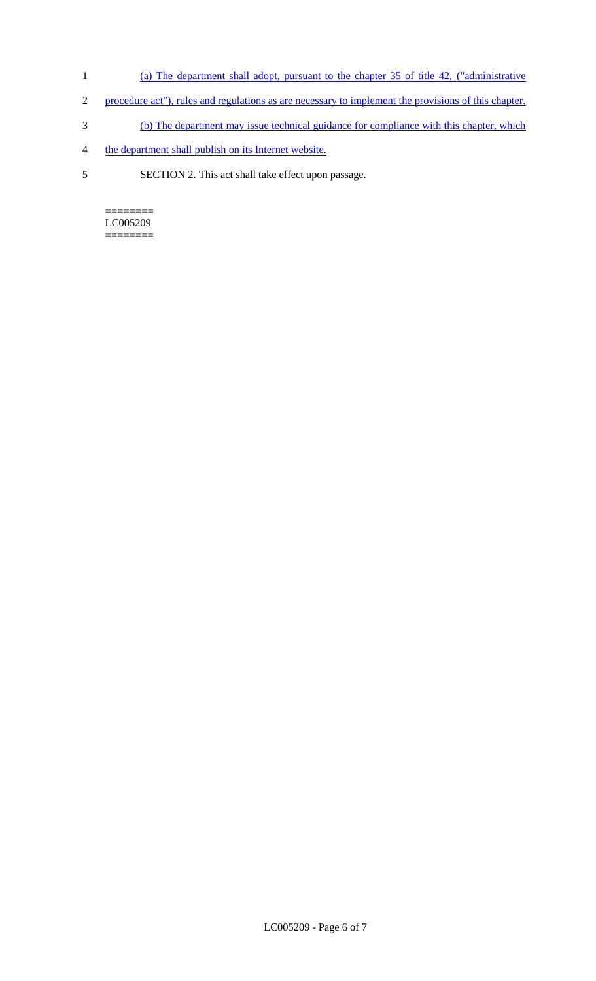- 1 (a) The department shall adopt, pursuant to the chapter 35 of title 42, ("administrative
- 2 procedure act"), rules and regulations as are necessary to implement the provisions of this chapter.
- 3 (b) The department may issue technical guidance for compliance with this chapter, which
- 4 the department shall publish on its Internet website.
- 5 SECTION 2. This act shall take effect upon passage.

======== LC005209 ========